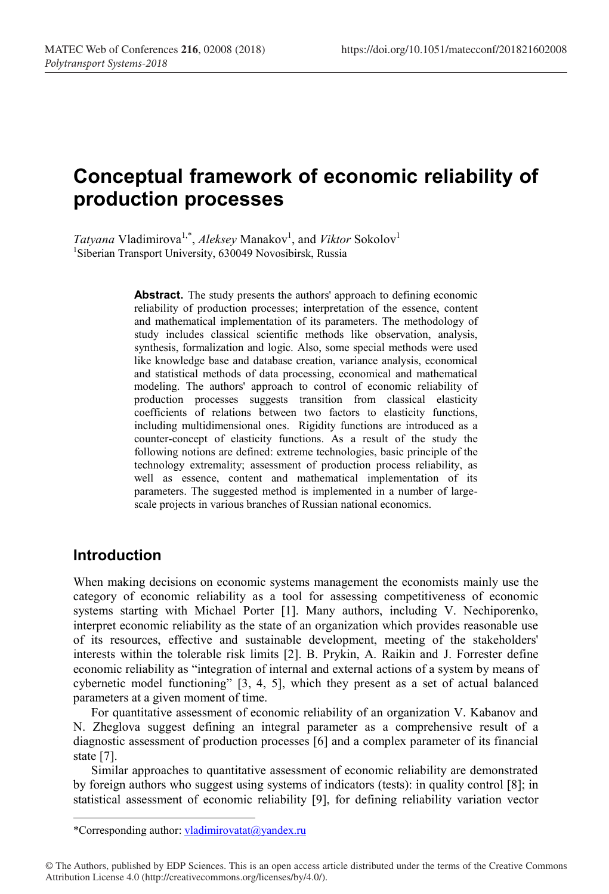# **Conceptual framework of economic reliability of production processes**

*Tatyana* Vladimirova<sup>1,\*</sup>, *Aleksey* Manakov<sup>1</sup>, and *Viktor* Sokolov<sup>1</sup> <sup>1</sup>Siberian Transport University, 630049 Novosibirsk, Russia

> **Abstract.** The study presents the authors' approach to defining economic reliability of production processes; interpretation of the essence, content and mathematical implementation of its parameters. The methodology of study includes classical scientific methods like observation, analysis, synthesis, formalization and logic. Also, some special methods were used like knowledge base and database creation, variance analysis, economical and statistical methods of data processing, economical and mathematical modeling. The authors' approach to control of economic reliability of production processes suggests transition from classical elasticity coefficients of relations between two factors to elasticity functions, including multidimensional ones. Rigidity functions are introduced as a counter-concept of elasticity functions. As a result of the study the following notions are defined: extreme technologies, basic principle of the technology extremality; assessment of production process reliability, as well as essence, content and mathematical implementation of its parameters. The suggested method is implemented in a number of largescale projects in various branches of Russian national economics.

## **Introduction**

-

When making decisions on economic systems management the economists mainly use the category of economic reliability as a tool for assessing competitiveness of economic systems starting with Michael Porter [1]. Many authors, including V. Nechiporenko, interpret economic reliability as the state of an organization which provides reasonable use of its resources, effective and sustainable development, meeting of the stakeholders' interests within the tolerable risk limits [2]. B. Prykin, A. Raikin and J. Forrester define economic reliability as "integration of internal and external actions of a system by means of cybernetic model functioning" [3, 4, 5], which they present as a set of actual balanced parameters at a given moment of time.

For quantitative assessment of economic reliability of an organization V. Kabanov and N. Zheglova suggest defining an integral parameter as a comprehensive result of a diagnostic assessment of production processes [6] and a complex parameter of its financial state [7].

Similar approaches to quantitative assessment of economic reliability are demonstrated by foreign authors who suggest using systems of indicators (tests): in quality control [8]; in statistical assessment of economic reliability [9], for defining reliability variation vector

<sup>\*</sup>Corresponding author: vladimirovatat@yandex.ru

<sup>©</sup> The Authors, published by EDP Sciences. This is an open access article distributed under the terms of the Creative Commons Attribution License 4.0 (http://creativecommons.org/licenses/by/4.0/).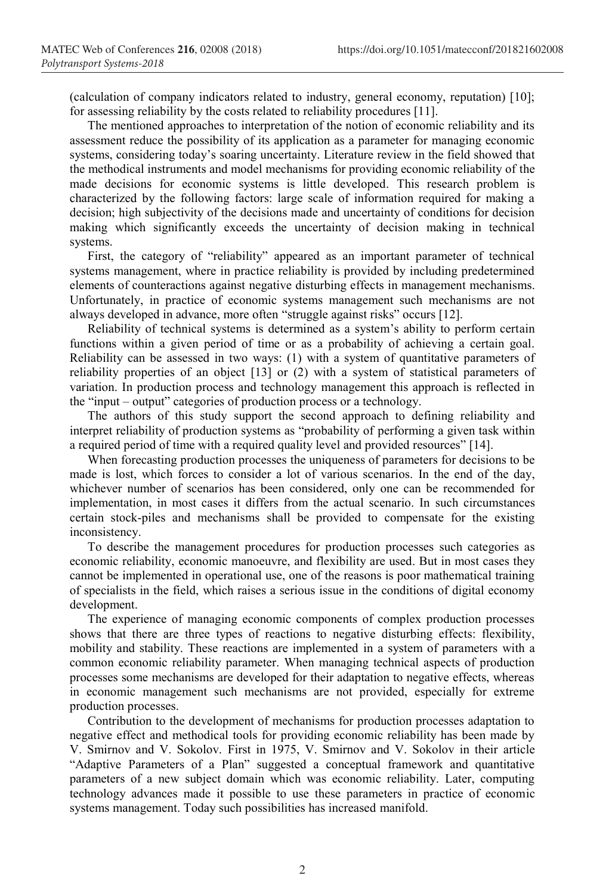(calculation of company indicators related to industry, general economy, reputation) [10]; for assessing reliability by the costs related to reliability procedures [11].

The mentioned approaches to interpretation of the notion of economic reliability and its assessment reduce the possibility of its application as a parameter for managing economic systems, considering today's soaring uncertainty. Literature review in the field showed that the methodical instruments and model mechanisms for providing economic reliability of the made decisions for economic systems is little developed. This research problem is characterized by the following factors: large scale of information required for making a decision; high subjectivity of the decisions made and uncertainty of conditions for decision making which significantly exceeds the uncertainty of decision making in technical systems.

First, the category of "reliability" appeared as an important parameter of technical systems management, where in practice reliability is provided by including predetermined elements of counteractions against negative disturbing effects in management mechanisms. Unfortunately, in practice of economic systems management such mechanisms are not always developed in advance, more often "struggle against risks" occurs [12].

Reliability of technical systems is determined as a system's ability to perform certain functions within a given period of time or as a probability of achieving a certain goal. Reliability can be assessed in two ways: (1) with a system of quantitative parameters of reliability properties of an object [13] or (2) with a system of statistical parameters of variation. In production process and technology management this approach is reflected in the "input – output" categories of production process or a technology.

The authors of this study support the second approach to defining reliability and interpret reliability of production systems as "probability of performing a given task within a required period of time with a required quality level and provided resources" [14].

When forecasting production processes the uniqueness of parameters for decisions to be made is lost, which forces to consider a lot of various scenarios. In the end of the day, whichever number of scenarios has been considered, only one can be recommended for implementation, in most cases it differs from the actual scenario. In such circumstances certain stock-piles and mechanisms shall be provided to compensate for the existing inconsistency.

To describe the management procedures for production processes such categories as economic reliability, economic manoeuvre, and flexibility are used. But in most cases they cannot be implemented in operational use, one of the reasons is poor mathematical training of specialists in the field, which raises a serious issue in the conditions of digital economy development.

The experience of managing economic components of complex production processes shows that there are three types of reactions to negative disturbing effects: flexibility, mobility and stability. These reactions are implemented in a system of parameters with a common economic reliability parameter. When managing technical aspects of production processes some mechanisms are developed for their adaptation to negative effects, whereas in economic management such mechanisms are not provided, especially for extreme production processes.

Contribution to the development of mechanisms for production processes adaptation to negative effect and methodical tools for providing economic reliability has been made by V. Smirnov and V. Sokolov. First in 1975, V. Smirnov and V. Sokolov in their article "Adaptive Parameters of a Plan" suggested a conceptual framework and quantitative parameters of a new subject domain which was economic reliability. Later, computing technology advances made it possible to use these parameters in practice of economic systems management. Today such possibilities has increased manifold.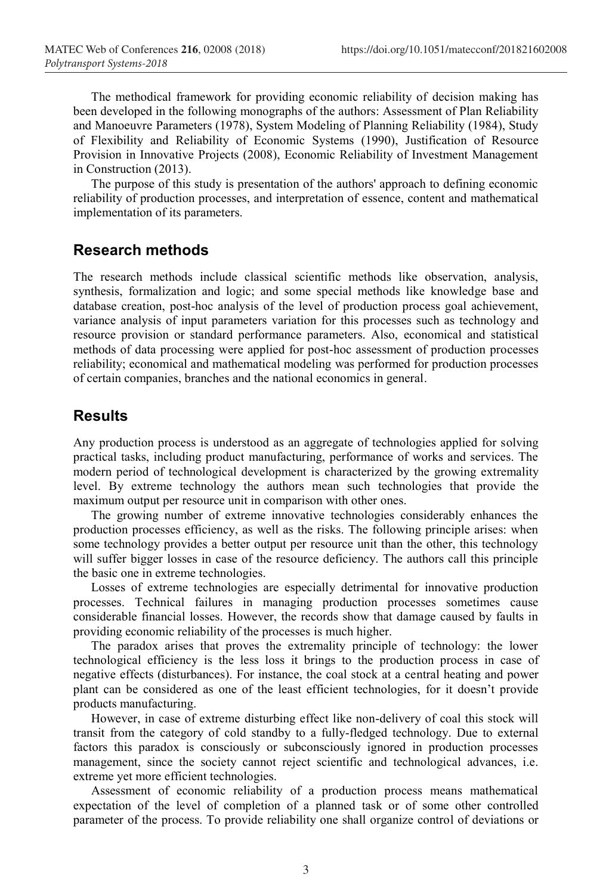The methodical framework for providing economic reliability of decision making has been developed in the following monographs of the authors: Assessment of Plan Reliability and Manoeuvre Parameters (1978), System Modeling of Planning Reliability (1984), Study of Flexibility and Reliability of Economic Systems (1990), Justification of Resource Provision in Innovative Projects (2008), Economic Reliability of Investment Management in Construction (2013).

The purpose of this study is presentation of the authors' approach to defining economic reliability of production processes, and interpretation of essence, content and mathematical implementation of its parameters.

## **Research methods**

The research methods include classical scientific methods like observation, analysis, synthesis, formalization and logic; and some special methods like knowledge base and database creation, post-hoc analysis of the level of production process goal achievement, variance analysis of input parameters variation for this processes such as technology and resource provision or standard performance parameters. Also, economical and statistical methods of data processing were applied for post-hoc assessment of production processes reliability; economical and mathematical modeling was performed for production processes of certain companies, branches and the national economics in general.

#### **Results**

Any production process is understood as an aggregate of technologies applied for solving practical tasks, including product manufacturing, performance of works and services. The modern period of technological development is characterized by the growing extremality level. By extreme technology the authors mean such technologies that provide the maximum output per resource unit in comparison with other ones.

The growing number of extreme innovative technologies considerably enhances the production processes efficiency, as well as the risks. The following principle arises: when some technology provides a better output per resource unit than the other, this technology will suffer bigger losses in case of the resource deficiency. The authors call this principle the basic one in extreme technologies.

Losses of extreme technologies are especially detrimental for innovative production processes. Technical failures in managing production processes sometimes cause considerable financial losses. However, the records show that damage caused by faults in providing economic reliability of the processes is much higher.

The paradox arises that proves the extremality principle of technology: the lower technological efficiency is the less loss it brings to the production process in case of negative effects (disturbances). For instance, the coal stock at a central heating and power plant can be considered as one of the least efficient technologies, for it doesn't provide products manufacturing.

However, in case of extreme disturbing effect like non-delivery of coal this stock will transit from the category of cold standby to a fully-fledged technology. Due to external factors this paradox is consciously or subconsciously ignored in production processes management, since the society cannot reject scientific and technological advances, i.e. extreme yet more efficient technologies.

Assessment of economic reliability of a production process means mathematical expectation of the level of completion of a planned task or of some other controlled parameter of the process. To provide reliability one shall organize control of deviations or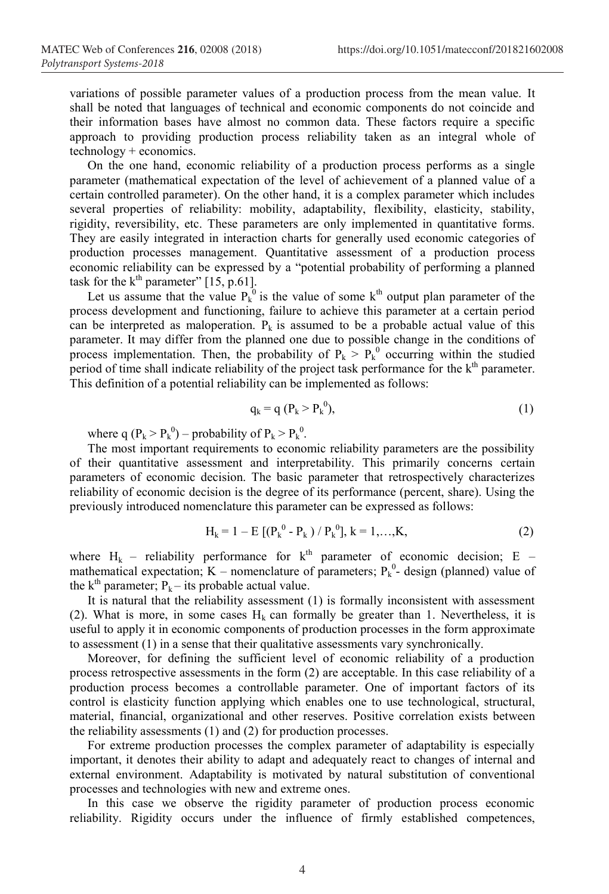variations of possible parameter values of a production process from the mean value. It shall be noted that languages of technical and economic components do not coincide and their information bases have almost no common data. These factors require a specific approach to providing production process reliability taken as an integral whole of technology + economics.

On the one hand, economic reliability of a production process performs as a single parameter (mathematical expectation of the level of achievement of a planned value of a certain controlled parameter). On the other hand, it is a complex parameter which includes several properties of reliability: mobility, adaptability, flexibility, elasticity, stability, rigidity, reversibility, etc. These parameters are only implemented in quantitative forms. They are easily integrated in interaction charts for generally used economic categories of production processes management. Quantitative assessment of a production process economic reliability can be expressed by a "potential probability of performing a planned task for the  $k^{\text{th}}$  parameter" [15, p.61].

Let us assume that the value  $P_k^0$  is the value of some  $k^{\text{th}}$  output plan parameter of the process development and functioning, failure to achieve this parameter at a certain period can be interpreted as maloperation.  $P_k$  is assumed to be a probable actual value of this parameter. It may differ from the planned one due to possible change in the conditions of process implementation. Then, the probability of  $P_k > P_k^0$  occurring within the studied period of time shall indicate reliability of the project task performance for the  $k<sup>th</sup>$  parameter. This definition of a potential reliability can be implemented as follows:

$$
q_k = q (P_k > P_k^0), \tag{1}
$$

where q ( $P_k > P_k^0$ ) – probability of  $P_k > P_k^0$ .

The most important requirements to economic reliability parameters are the possibility of their quantitative assessment and interpretability. This primarily concerns certain parameters of economic decision. The basic parameter that retrospectively characterizes reliability of economic decision is the degree of its performance (percent, share). Using the previously introduced nomenclature this parameter can be expressed as follows:

$$
H_k = 1 - E\left[ (P_k^0 - P_k) / P_k^0 \right], k = 1, ..., K,
$$
 (2)

where  $H_k$  – reliability performance for  $k^{th}$  parameter of economic decision; E – mathematical expectation; K – nomenclature of parameters;  $P_k^0$ - design (planned) value of the k<sup>th</sup> parameter;  $P_k$  – its probable actual value.

It is natural that the reliability assessment (1) is formally inconsistent with assessment (2). What is more, in some cases  $H_k$  can formally be greater than 1. Nevertheless, it is useful to apply it in economic components of production processes in the form approximate to assessment (1) in a sense that their qualitative assessments vary synchronically.

Moreover, for defining the sufficient level of economic reliability of a production process retrospective assessments in the form (2) are acceptable. In this case reliability of a production process becomes a controllable parameter. One of important factors of its control is elasticity function applying which enables one to use technological, structural, material, financial, organizational and other reserves. Positive correlation exists between the reliability assessments (1) and (2) for production processes.

For extreme production processes the complex parameter of adaptability is especially important, it denotes their ability to adapt and adequately react to changes of internal and external environment. Adaptability is motivated by natural substitution of conventional processes and technologies with new and extreme ones.

In this case we observe the rigidity parameter of production process economic reliability. Rigidity occurs under the influence of firmly established competences,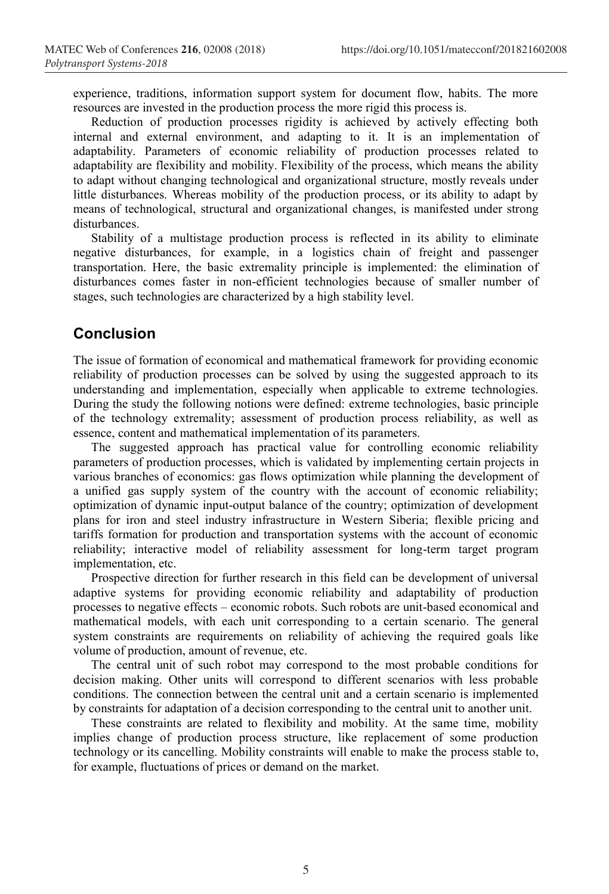experience, traditions, information support system for document flow, habits. The more resources are invested in the production process the more rigid this process is.

Reduction of production processes rigidity is achieved by actively effecting both internal and external environment, and adapting to it. It is an implementation of adaptability. Parameters of economic reliability of production processes related to adaptability are flexibility and mobility. Flexibility of the process, which means the ability to adapt without changing technological and organizational structure, mostly reveals under little disturbances. Whereas mobility of the production process, or its ability to adapt by means of technological, structural and organizational changes, is manifested under strong disturbances.

Stability of a multistage production process is reflected in its ability to eliminate negative disturbances, for example, in a logistics chain of freight and passenger transportation. Here, the basic extremality principle is implemented: the elimination of disturbances comes faster in non-efficient technologies because of smaller number of stages, such technologies are characterized by a high stability level.

## **Conclusion**

The issue of formation of economical and mathematical framework for providing economic reliability of production processes can be solved by using the suggested approach to its understanding and implementation, especially when applicable to extreme technologies. During the study the following notions were defined: extreme technologies, basic principle of the technology extremality; assessment of production process reliability, as well as essence, content and mathematical implementation of its parameters.

The suggested approach has practical value for controlling economic reliability parameters of production processes, which is validated by implementing certain projects in various branches of economics: gas flows optimization while planning the development of a unified gas supply system of the country with the account of economic reliability; optimization of dynamic input-output balance of the country; optimization of development plans for iron and steel industry infrastructure in Western Siberia; flexible pricing and tariffs formation for production and transportation systems with the account of economic reliability; interactive model of reliability assessment for long-term target program implementation, etc.

Prospective direction for further research in this field can be development of universal adaptive systems for providing economic reliability and adaptability of production processes to negative effects – economic robots. Such robots are unit-based economical and mathematical models, with each unit corresponding to a certain scenario. The general system constraints are requirements on reliability of achieving the required goals like volume of production, amount of revenue, etc.

The central unit of such robot may correspond to the most probable conditions for decision making. Other units will correspond to different scenarios with less probable conditions. The connection between the central unit and a certain scenario is implemented by constraints for adaptation of a decision corresponding to the central unit to another unit.

These constraints are related to flexibility and mobility. At the same time, mobility implies change of production process structure, like replacement of some production technology or its cancelling. Mobility constraints will enable to make the process stable to, for example, fluctuations of prices or demand on the market.